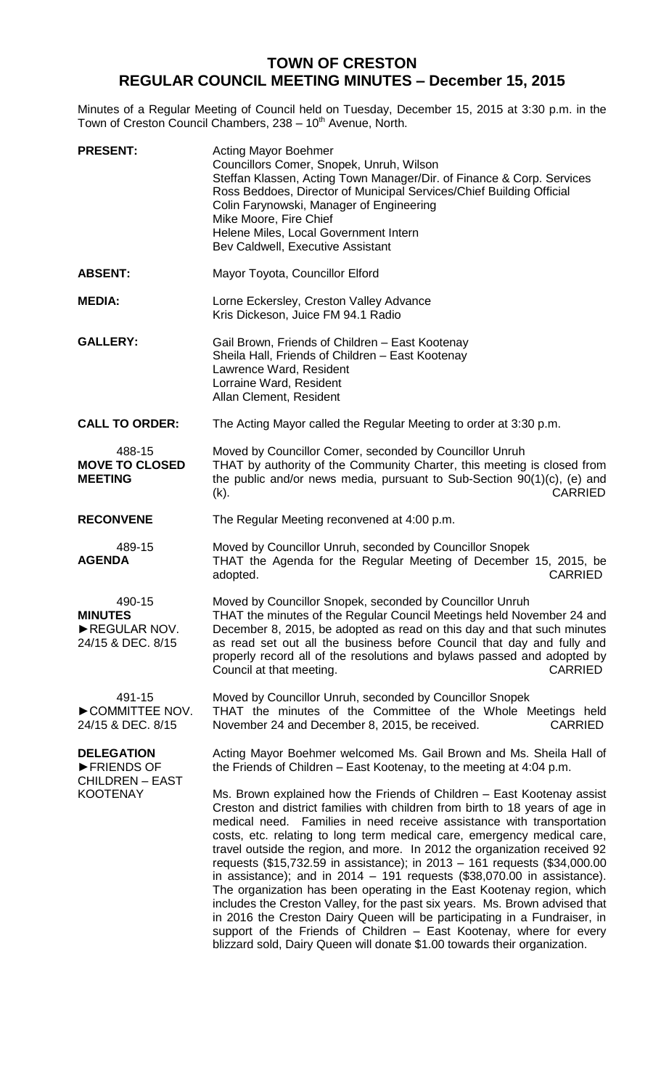# **TOWN OF CRESTON REGULAR COUNCIL MEETING MINUTES – December 15, 2015**

Minutes of a Regular Meeting of Council held on Tuesday, December 15, 2015 at 3:30 p.m. in the Town of Creston Council Chambers, 238 - 10<sup>th</sup> Avenue, North.

| <b>PRESENT:</b>                                                              | <b>Acting Mayor Boehmer</b><br>Councillors Comer, Snopek, Unruh, Wilson<br>Steffan Klassen, Acting Town Manager/Dir. of Finance & Corp. Services<br>Ross Beddoes, Director of Municipal Services/Chief Building Official<br>Colin Farynowski, Manager of Engineering<br>Mike Moore, Fire Chief<br>Helene Miles, Local Government Intern<br>Bev Caldwell, Executive Assistant                                                                                                                                                                                                                                                                                                                                                                                                                                                                                                                                                                  |
|------------------------------------------------------------------------------|-----------------------------------------------------------------------------------------------------------------------------------------------------------------------------------------------------------------------------------------------------------------------------------------------------------------------------------------------------------------------------------------------------------------------------------------------------------------------------------------------------------------------------------------------------------------------------------------------------------------------------------------------------------------------------------------------------------------------------------------------------------------------------------------------------------------------------------------------------------------------------------------------------------------------------------------------|
| <b>ABSENT:</b>                                                               | Mayor Toyota, Councillor Elford                                                                                                                                                                                                                                                                                                                                                                                                                                                                                                                                                                                                                                                                                                                                                                                                                                                                                                               |
| <b>MEDIA:</b>                                                                | Lorne Eckersley, Creston Valley Advance<br>Kris Dickeson, Juice FM 94.1 Radio                                                                                                                                                                                                                                                                                                                                                                                                                                                                                                                                                                                                                                                                                                                                                                                                                                                                 |
| <b>GALLERY:</b>                                                              | Gail Brown, Friends of Children - East Kootenay<br>Sheila Hall, Friends of Children - East Kootenay<br>Lawrence Ward, Resident<br>Lorraine Ward, Resident<br>Allan Clement, Resident                                                                                                                                                                                                                                                                                                                                                                                                                                                                                                                                                                                                                                                                                                                                                          |
| <b>CALL TO ORDER:</b>                                                        | The Acting Mayor called the Regular Meeting to order at 3:30 p.m.                                                                                                                                                                                                                                                                                                                                                                                                                                                                                                                                                                                                                                                                                                                                                                                                                                                                             |
| 488-15<br><b>MOVE TO CLOSED</b><br><b>MEETING</b>                            | Moved by Councillor Comer, seconded by Councillor Unruh<br>THAT by authority of the Community Charter, this meeting is closed from<br>the public and/or news media, pursuant to Sub-Section 90(1)(c), (e) and<br><b>CARRIED</b><br>$(k)$ .                                                                                                                                                                                                                                                                                                                                                                                                                                                                                                                                                                                                                                                                                                    |
| <b>RECONVENE</b>                                                             | The Regular Meeting reconvened at 4:00 p.m.                                                                                                                                                                                                                                                                                                                                                                                                                                                                                                                                                                                                                                                                                                                                                                                                                                                                                                   |
| 489-15<br><b>AGENDA</b>                                                      | Moved by Councillor Unruh, seconded by Councillor Snopek<br>THAT the Agenda for the Regular Meeting of December 15, 2015, be<br>adopted.<br><b>CARRIED</b>                                                                                                                                                                                                                                                                                                                                                                                                                                                                                                                                                                                                                                                                                                                                                                                    |
| 490-15<br><b>MINUTES</b><br>REGULAR NOV.<br>24/15 & DEC. 8/15                | Moved by Councillor Snopek, seconded by Councillor Unruh<br>THAT the minutes of the Regular Council Meetings held November 24 and<br>December 8, 2015, be adopted as read on this day and that such minutes<br>as read set out all the business before Council that day and fully and<br>properly record all of the resolutions and bylaws passed and adopted by<br>Council at that meeting.<br><b>CARRIED</b>                                                                                                                                                                                                                                                                                                                                                                                                                                                                                                                                |
| 491-15<br>COMMITTEE NOV.<br>24/15 & DEC. 8/15                                | Moved by Councillor Unruh, seconded by Councillor Snopek<br>THAT the minutes of the Committee of the Whole Meetings held<br>November 24 and December 8, 2015, be received.<br><b>CARRIED</b>                                                                                                                                                                                                                                                                                                                                                                                                                                                                                                                                                                                                                                                                                                                                                  |
| <b>DELEGATION</b><br>FRIENDS OF<br><b>CHILDREN - EAST</b><br><b>KOOTENAY</b> | Acting Mayor Boehmer welcomed Ms. Gail Brown and Ms. Sheila Hall of<br>the Friends of Children - East Kootenay, to the meeting at 4:04 p.m.                                                                                                                                                                                                                                                                                                                                                                                                                                                                                                                                                                                                                                                                                                                                                                                                   |
|                                                                              | Ms. Brown explained how the Friends of Children – East Kootenay assist<br>Creston and district families with children from birth to 18 years of age in<br>medical need. Families in need receive assistance with transportation<br>costs, etc. relating to long term medical care, emergency medical care,<br>travel outside the region, and more. In 2012 the organization received 92<br>requests (\$15,732.59 in assistance); in 2013 - 161 requests (\$34,000.00<br>in assistance); and in $2014 - 191$ requests $(\$38,070.00$ in assistance).<br>The organization has been operating in the East Kootenay region, which<br>includes the Creston Valley, for the past six years. Ms. Brown advised that<br>in 2016 the Creston Dairy Queen will be participating in a Fundraiser, in<br>support of the Friends of Children - East Kootenay, where for every<br>blizzard sold, Dairy Queen will donate \$1.00 towards their organization. |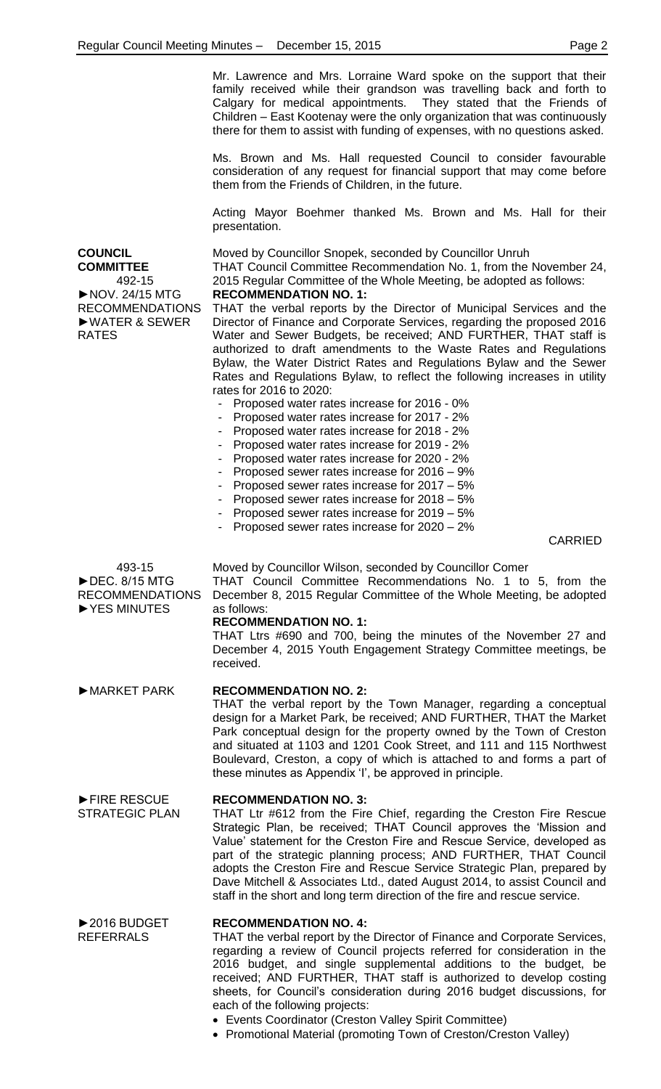Mr. Lawrence and Mrs. Lorraine Ward spoke on the support that their family received while their grandson was travelling back and forth to Calgary for medical appointments. They stated that the Friends of Children – East Kootenay were the only organization that was continuously there for them to assist with funding of expenses, with no questions asked.

Ms. Brown and Ms. Hall requested Council to consider favourable consideration of any request for financial support that may come before them from the Friends of Children, in the future.

Acting Mayor Boehmer thanked Ms. Brown and Ms. Hall for their presentation.

Moved by Councillor Snopek, seconded by Councillor Unruh

THAT Council Committee Recommendation No. 1, from the November 24, 2015 Regular Committee of the Whole Meeting, be adopted as follows: **RECOMMENDATION NO. 1:**

THAT the verbal reports by the Director of Municipal Services and the Director of Finance and Corporate Services, regarding the proposed 2016 Water and Sewer Budgets, be received; AND FURTHER, THAT staff is authorized to draft amendments to the Waste Rates and Regulations Bylaw, the Water District Rates and Regulations Bylaw and the Sewer Rates and Regulations Bylaw, to reflect the following increases in utility rates for 2016 to 2020:

- Proposed water rates increase for 2016 0%
- Proposed water rates increase for 2017 2%
- Proposed water rates increase for 2018 2%
- Proposed water rates increase for 2019 2%
- Proposed water rates increase for 2020 2%
- Proposed sewer rates increase for 2016 9%
- Proposed sewer rates increase for 2017 5%
- Proposed sewer rates increase for 2018 5%
- Proposed sewer rates increase for 2019 5%
- Proposed sewer rates increase for 2020 2%

CARRIED

►FIRE RESCUE STRATEGIC PLAN

►2016 BUDGET REFERRALS

Moved by Councillor Wilson, seconded by Councillor Comer

THAT Council Committee Recommendations No. 1 to 5, from the December 8, 2015 Regular Committee of the Whole Meeting, be adopted as follows:

## **RECOMMENDATION NO. 1:**

THAT Ltrs #690 and 700, being the minutes of the November 27 and December 4, 2015 Youth Engagement Strategy Committee meetings, be received.

## ►MARKET PARK **RECOMMENDATION NO. 2:**

THAT the verbal report by the Town Manager, regarding a conceptual design for a Market Park, be received; AND FURTHER, THAT the Market Park conceptual design for the property owned by the Town of Creston and situated at 1103 and 1201 Cook Street, and 111 and 115 Northwest Boulevard, Creston, a copy of which is attached to and forms a part of these minutes as Appendix 'I', be approved in principle.

#### **RECOMMENDATION NO. 3:**

THAT Ltr #612 from the Fire Chief, regarding the Creston Fire Rescue Strategic Plan, be received; THAT Council approves the 'Mission and Value' statement for the Creston Fire and Rescue Service, developed as part of the strategic planning process; AND FURTHER, THAT Council adopts the Creston Fire and Rescue Service Strategic Plan, prepared by Dave Mitchell & Associates Ltd., dated August 2014, to assist Council and staff in the short and long term direction of the fire and rescue service.

### **RECOMMENDATION NO. 4:**

THAT the verbal report by the Director of Finance and Corporate Services, regarding a review of Council projects referred for consideration in the 2016 budget, and single supplemental additions to the budget, be received; AND FURTHER, THAT staff is authorized to develop costing sheets, for Council's consideration during 2016 budget discussions, for each of the following projects:

- Events Coordinator (Creston Valley Spirit Committee)
- Promotional Material (promoting Town of Creston/Creston Valley)

**COUNCIL COMMITTEE** 492-15 ►NOV. 24/15 MTG RECOMMENDATIONS ►WATER & SEWER RATES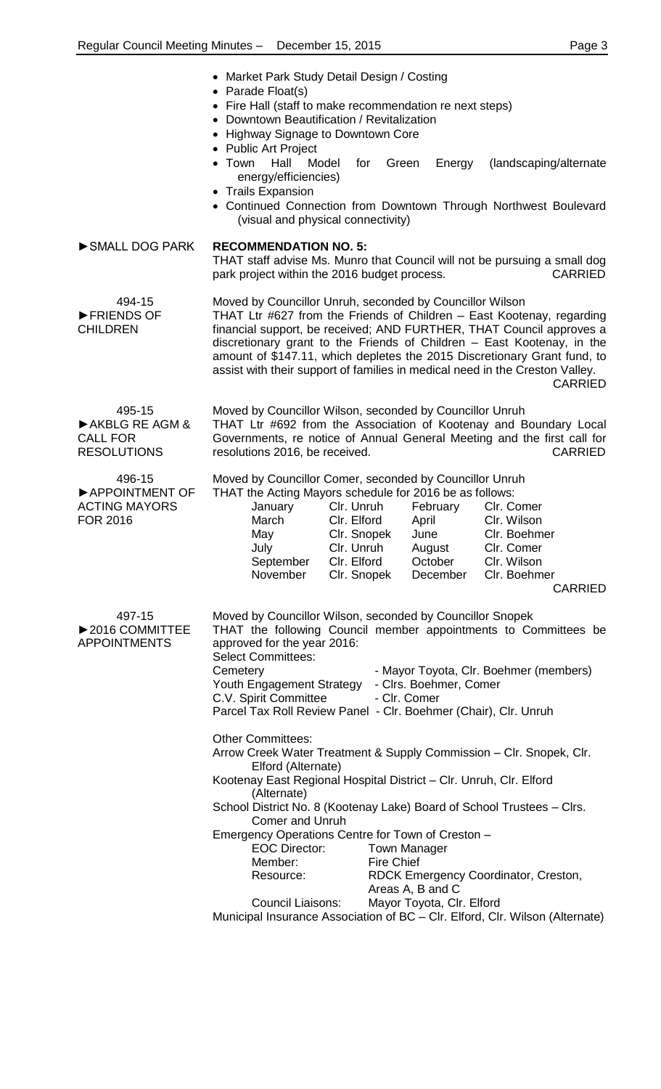|                                                                     | • Market Park Study Detail Design / Costing<br>• Parade Float(s)<br>• Fire Hall (staff to make recommendation re next steps)<br>• Downtown Beautification / Revitalization<br>• Highway Signage to Downtown Core<br>• Public Art Project<br>$\bullet$ Town<br>Hall<br>Model<br>energy/efficiencies)<br>• Trails Expansion<br>• Continued Connection from Downtown Through Northwest Boulevard                                                                                                                                       | Green<br>for<br>Energy                                                                    | (landscaping/alternate)                                                                                  |
|---------------------------------------------------------------------|-------------------------------------------------------------------------------------------------------------------------------------------------------------------------------------------------------------------------------------------------------------------------------------------------------------------------------------------------------------------------------------------------------------------------------------------------------------------------------------------------------------------------------------|-------------------------------------------------------------------------------------------|----------------------------------------------------------------------------------------------------------|
| SMALL DOG PARK                                                      | (visual and physical connectivity)<br><b>RECOMMENDATION NO. 5:</b><br>THAT staff advise Ms. Munro that Council will not be pursuing a small dog                                                                                                                                                                                                                                                                                                                                                                                     |                                                                                           |                                                                                                          |
| 494-15<br>FRIENDS OF<br><b>CHILDREN</b>                             | <b>CARRIED</b><br>park project within the 2016 budget process.<br>Moved by Councillor Unruh, seconded by Councillor Wilson<br>THAT Ltr #627 from the Friends of Children - East Kootenay, regarding<br>financial support, be received; AND FURTHER, THAT Council approves a<br>discretionary grant to the Friends of Children - East Kootenay, in the<br>amount of \$147.11, which depletes the 2015 Discretionary Grant fund, to<br>assist with their support of families in medical need in the Creston Valley.<br><b>CARRIED</b> |                                                                                           |                                                                                                          |
| 495-15<br>AKBLG RE AGM &<br><b>CALL FOR</b><br><b>RESOLUTIONS</b>   | Moved by Councillor Wilson, seconded by Councillor Unruh<br>THAT Ltr #692 from the Association of Kootenay and Boundary Local<br>Governments, re notice of Annual General Meeting and the first call for<br>resolutions 2016, be received.                                                                                                                                                                                                                                                                                          |                                                                                           | <b>CARRIED</b>                                                                                           |
| 496-15<br>APPOINTMENT OF<br><b>ACTING MAYORS</b><br><b>FOR 2016</b> | Moved by Councillor Comer, seconded by Councillor Unruh<br>THAT the Acting Mayors schedule for 2016 be as follows:<br>Clr. Unruh<br>January<br>March<br>Clr. Elford<br>May<br>Clr. Unruh<br>July<br>September<br>Clr. Elford<br>November                                                                                                                                                                                                                                                                                            | February<br>April<br>Clr. Snopek<br>June<br>August<br>October<br>Clr. Snopek<br>December  | Clr. Comer<br>Clr. Wilson<br>Clr. Boehmer<br>Clr. Comer<br>Clr. Wilson<br>Clr. Boehmer<br><b>CARRIED</b> |
| 497-15<br>▶2016 COMMITTEE<br><b>APPOINTMENTS</b>                    | Moved by Councillor Wilson, seconded by Councillor Snopek<br>THAT the following Council member appointments to Committees be<br>approved for the year 2016:<br><b>Select Committees:</b><br>Cemetery<br>Youth Engagement Strategy<br>C.V. Spirit Committee<br>Parcel Tax Roll Review Panel - Clr. Boehmer (Chair), Clr. Unruh                                                                                                                                                                                                       | - Clrs. Boehmer, Comer<br>- Clr. Comer                                                    | - Mayor Toyota, Clr. Boehmer (members)                                                                   |
|                                                                     | <b>Other Committees:</b><br>Arrow Creek Water Treatment & Supply Commission - Clr. Snopek, Clr.<br>Elford (Alternate)<br>Kootenay East Regional Hospital District - Clr. Unruh, Clr. Elford<br>(Alternate)<br>School District No. 8 (Kootenay Lake) Board of School Trustees - Clrs.<br><b>Comer and Unruh</b><br>Emergency Operations Centre for Town of Creston -<br><b>EOC Director:</b><br>Member:<br>Resource:<br>Council Liaisons:                                                                                            | <b>Town Manager</b><br><b>Fire Chief</b><br>Areas A, B and C<br>Mayor Toyota, Clr. Elford | RDCK Emergency Coordinator, Creston,                                                                     |

Municipal Insurance Association of BC – Clr. Elford, Clr. Wilson (Alternate)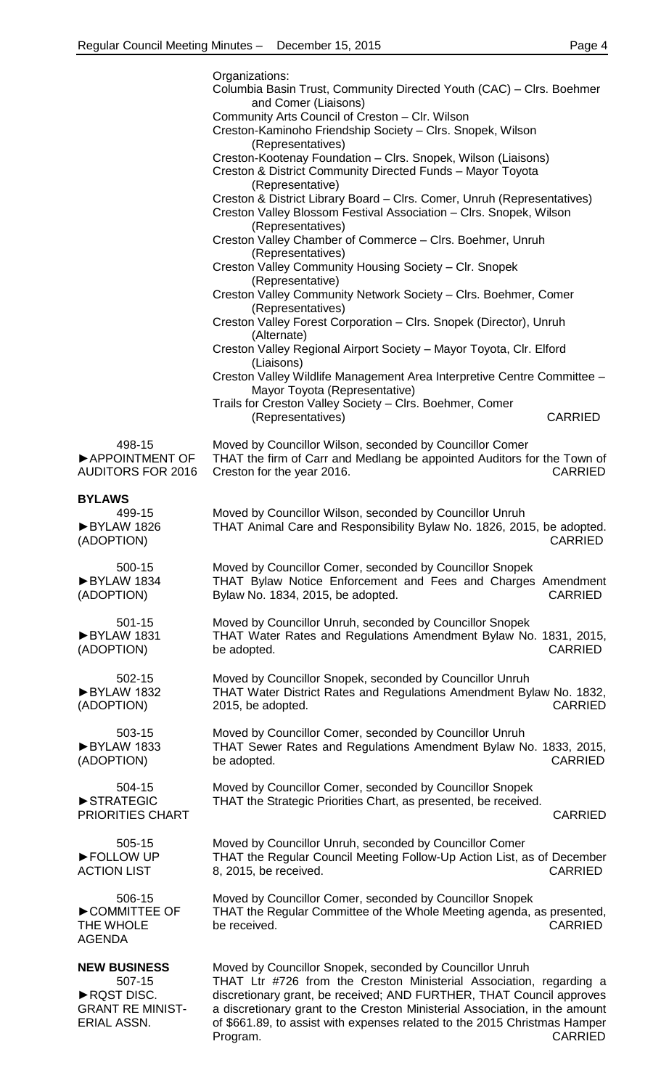|                                                                | Organizations:<br>Columbia Basin Trust, Community Directed Youth (CAC) - Clrs. Boehmer                                                                                                                                                                                                                                         |
|----------------------------------------------------------------|--------------------------------------------------------------------------------------------------------------------------------------------------------------------------------------------------------------------------------------------------------------------------------------------------------------------------------|
|                                                                | and Comer (Liaisons)<br>Community Arts Council of Creston - Clr. Wilson<br>Creston-Kaminoho Friendship Society - Clrs. Snopek, Wilson                                                                                                                                                                                          |
|                                                                | (Representatives)<br>Creston-Kootenay Foundation - Clrs. Snopek, Wilson (Liaisons)<br>Creston & District Community Directed Funds - Mayor Toyota                                                                                                                                                                               |
|                                                                | (Representative)<br>Creston & District Library Board - Clrs. Comer, Unruh (Representatives)<br>Creston Valley Blossom Festival Association - Clrs. Snopek, Wilson                                                                                                                                                              |
|                                                                | (Representatives)<br>Creston Valley Chamber of Commerce - Clrs. Boehmer, Unruh                                                                                                                                                                                                                                                 |
|                                                                | (Representatives)<br>Creston Valley Community Housing Society - Clr. Snopek                                                                                                                                                                                                                                                    |
|                                                                | (Representative)<br>Creston Valley Community Network Society - Clrs. Boehmer, Comer                                                                                                                                                                                                                                            |
|                                                                | (Representatives)<br>Creston Valley Forest Corporation - Clrs. Snopek (Director), Unruh<br>(Alternate)                                                                                                                                                                                                                         |
|                                                                | Creston Valley Regional Airport Society - Mayor Toyota, Clr. Elford<br>(Liaisons)                                                                                                                                                                                                                                              |
|                                                                | Creston Valley Wildlife Management Area Interpretive Centre Committee -<br>Mayor Toyota (Representative)                                                                                                                                                                                                                       |
|                                                                | Trails for Creston Valley Society - Clrs. Boehmer, Comer<br>(Representatives)<br><b>CARRIED</b>                                                                                                                                                                                                                                |
| 498-15<br>APPOINTMENT OF<br><b>AUDITORS FOR 2016</b>           | Moved by Councillor Wilson, seconded by Councillor Comer<br>THAT the firm of Carr and Medlang be appointed Auditors for the Town of<br>Creston for the year 2016.<br><b>CARRIED</b>                                                                                                                                            |
| <b>BYLAWS</b>                                                  |                                                                                                                                                                                                                                                                                                                                |
| 499-15<br>BYLAW 1826<br>(ADOPTION)                             | Moved by Councillor Wilson, seconded by Councillor Unruh<br>THAT Animal Care and Responsibility Bylaw No. 1826, 2015, be adopted.<br><b>CARRIED</b>                                                                                                                                                                            |
| 500-15<br>BYLAW 1834<br>(ADOPTION)                             | Moved by Councillor Comer, seconded by Councillor Snopek<br>THAT Bylaw Notice Enforcement and Fees and Charges Amendment<br>Bylaw No. 1834, 2015, be adopted.<br><b>CARRIED</b>                                                                                                                                                |
| 501-15<br>BYLAW 1831<br>(ADOPTION)                             | Moved by Councillor Unruh, seconded by Councillor Snopek<br>THAT Water Rates and Regulations Amendment Bylaw No. 1831, 2015,<br><b>CARRIED</b><br>be adopted.                                                                                                                                                                  |
| 502-15<br>BYLAW 1832<br>(ADOPTION)                             | Moved by Councillor Snopek, seconded by Councillor Unruh<br>THAT Water District Rates and Regulations Amendment Bylaw No. 1832,<br><b>CARRIED</b><br>2015, be adopted.                                                                                                                                                         |
| 503-15<br>BYLAW 1833<br>(ADOPTION)                             | Moved by Councillor Comer, seconded by Councillor Unruh<br>THAT Sewer Rates and Regulations Amendment Bylaw No. 1833, 2015,<br>be adopted.<br><b>CARRIED</b>                                                                                                                                                                   |
| 504-15<br>STRATEGIC<br>PRIORITIES CHART                        | Moved by Councillor Comer, seconded by Councillor Snopek<br>THAT the Strategic Priorities Chart, as presented, be received.<br><b>CARRIED</b>                                                                                                                                                                                  |
| 505-15<br>FOLLOW UP<br><b>ACTION LIST</b>                      | Moved by Councillor Unruh, seconded by Councillor Comer<br>THAT the Regular Council Meeting Follow-Up Action List, as of December<br>8, 2015, be received.<br><b>CARRIED</b>                                                                                                                                                   |
| 506-15<br>COMMITTEE OF<br>THE WHOLE<br><b>AGENDA</b>           | Moved by Councillor Comer, seconded by Councillor Snopek<br>THAT the Regular Committee of the Whole Meeting agenda, as presented,<br>be received.<br><b>CARRIED</b>                                                                                                                                                            |
| <b>NEW BUSINESS</b>                                            | Moved by Councillor Snopek, seconded by Councillor Unruh                                                                                                                                                                                                                                                                       |
| 507-15<br>RQST DISC.<br><b>GRANT RE MINIST-</b><br>ERIAL ASSN. | THAT Ltr #726 from the Creston Ministerial Association, regarding a<br>discretionary grant, be received; AND FURTHER, THAT Council approves<br>a discretionary grant to the Creston Ministerial Association, in the amount<br>of \$661.89, to assist with expenses related to the 2015 Christmas Hamper<br>CARRIED<br>Program. |